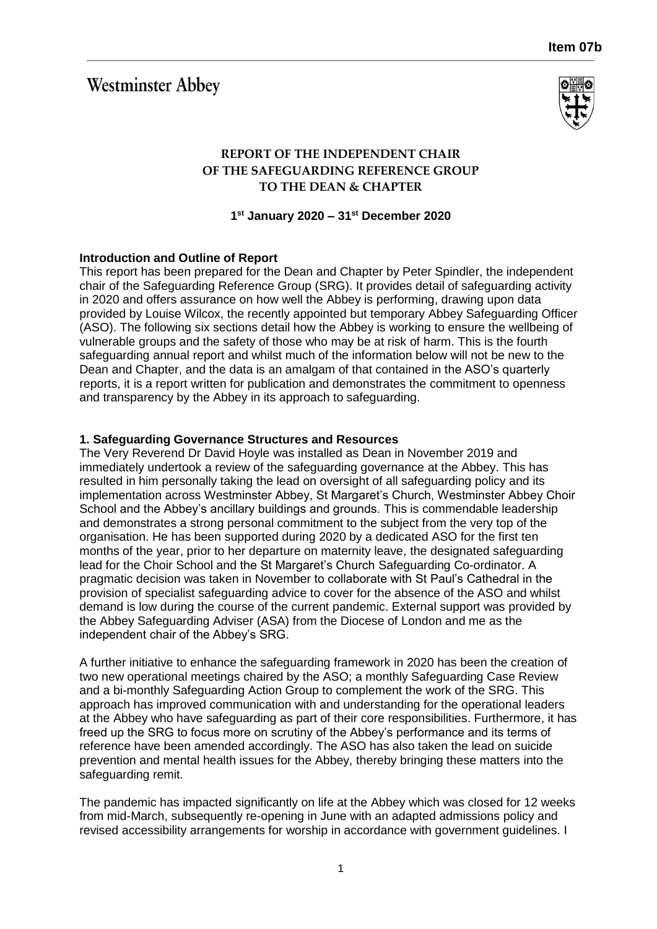# **Westminster Abbey**



## **REPORT OF THE INDEPENDENT CHAIR OF THE SAFEGUARDING REFERENCE GROUP TO THE DEAN & CHAPTER**

**1 st January 2020 – 31st December 2020**

## **Introduction and Outline of Report**

This report has been prepared for the Dean and Chapter by Peter Spindler, the independent chair of the Safeguarding Reference Group (SRG). It provides detail of safeguarding activity in 2020 and offers assurance on how well the Abbey is performing, drawing upon data provided by Louise Wilcox, the recently appointed but temporary Abbey Safeguarding Officer (ASO). The following six sections detail how the Abbey is working to ensure the wellbeing of vulnerable groups and the safety of those who may be at risk of harm. This is the fourth safeguarding annual report and whilst much of the information below will not be new to the Dean and Chapter, and the data is an amalgam of that contained in the ASO's quarterly reports, it is a report written for publication and demonstrates the commitment to openness and transparency by the Abbey in its approach to safeguarding.

## **1. Safeguarding Governance Structures and Resources**

The Very Reverend Dr David Hoyle was installed as Dean in November 2019 and immediately undertook a review of the safeguarding governance at the Abbey. This has resulted in him personally taking the lead on oversight of all safeguarding policy and its implementation across Westminster Abbey, St Margaret's Church, Westminster Abbey Choir School and the Abbey's ancillary buildings and grounds. This is commendable leadership and demonstrates a strong personal commitment to the subject from the very top of the organisation. He has been supported during 2020 by a dedicated ASO for the first ten months of the year, prior to her departure on maternity leave, the designated safeguarding lead for the Choir School and the St Margaret's Church Safeguarding Co-ordinator. A pragmatic decision was taken in November to collaborate with St Paul's Cathedral in the provision of specialist safeguarding advice to cover for the absence of the ASO and whilst demand is low during the course of the current pandemic. External support was provided by the Abbey Safeguarding Adviser (ASA) from the Diocese of London and me as the independent chair of the Abbey's SRG.

A further initiative to enhance the safeguarding framework in 2020 has been the creation of two new operational meetings chaired by the ASO; a monthly Safeguarding Case Review and a bi-monthly Safeguarding Action Group to complement the work of the SRG. This approach has improved communication with and understanding for the operational leaders at the Abbey who have safeguarding as part of their core responsibilities. Furthermore, it has freed up the SRG to focus more on scrutiny of the Abbey's performance and its terms of reference have been amended accordingly. The ASO has also taken the lead on suicide prevention and mental health issues for the Abbey, thereby bringing these matters into the safeguarding remit.

The pandemic has impacted significantly on life at the Abbey which was closed for 12 weeks from mid-March, subsequently re-opening in June with an adapted admissions policy and revised accessibility arrangements for worship in accordance with government guidelines. I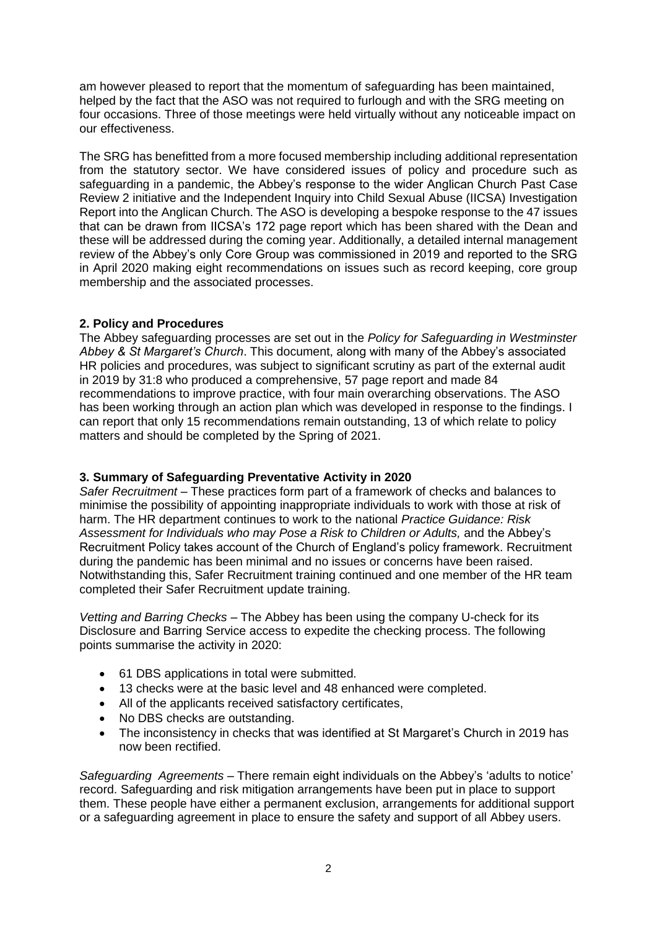am however pleased to report that the momentum of safeguarding has been maintained, helped by the fact that the ASO was not required to furlough and with the SRG meeting on four occasions. Three of those meetings were held virtually without any noticeable impact on our effectiveness.

The SRG has benefitted from a more focused membership including additional representation from the statutory sector. We have considered issues of policy and procedure such as safeguarding in a pandemic, the Abbey's response to the wider Anglican Church Past Case Review 2 initiative and the Independent Inquiry into Child Sexual Abuse (IICSA) Investigation Report into the Anglican Church. The ASO is developing a bespoke response to the 47 issues that can be drawn from IICSA's 172 page report which has been shared with the Dean and these will be addressed during the coming year. Additionally, a detailed internal management review of the Abbey's only Core Group was commissioned in 2019 and reported to the SRG in April 2020 making eight recommendations on issues such as record keeping, core group membership and the associated processes.

## **2. Policy and Procedures**

The Abbey safeguarding processes are set out in the *Policy for Safeguarding in Westminster Abbey & St Margaret's Church*. This document, along with many of the Abbey's associated HR policies and procedures, was subject to significant scrutiny as part of the external audit in 2019 by 31:8 who produced a comprehensive, 57 page report and made 84 recommendations to improve practice, with four main overarching observations. The ASO has been working through an action plan which was developed in response to the findings. I can report that only 15 recommendations remain outstanding, 13 of which relate to policy matters and should be completed by the Spring of 2021.

#### **3. Summary of Safeguarding Preventative Activity in 2020**

*Safer Recruitment* – These practices form part of a framework of checks and balances to minimise the possibility of appointing inappropriate individuals to work with those at risk of harm. The HR department continues to work to the national *Practice Guidance: Risk Assessment for Individuals who may Pose a Risk to Children or Adults,* and the Abbey's Recruitment Policy takes account of the Church of England's policy framework. Recruitment during the pandemic has been minimal and no issues or concerns have been raised. Notwithstanding this, Safer Recruitment training continued and one member of the HR team completed their Safer Recruitment update training.

*Vetting and Barring Checks* – The Abbey has been using the company U-check for its Disclosure and Barring Service access to expedite the checking process. The following points summarise the activity in 2020:

- 61 DBS applications in total were submitted.
- 13 checks were at the basic level and 48 enhanced were completed.
- All of the applicants received satisfactory certificates,
- No DBS checks are outstanding.
- The inconsistency in checks that was identified at St Margaret's Church in 2019 has now been rectified.

*Safeguarding Agreements –* There remain eight individuals on the Abbey's 'adults to notice' record. Safeguarding and risk mitigation arrangements have been put in place to support them. These people have either a permanent exclusion, arrangements for additional support or a safeguarding agreement in place to ensure the safety and support of all Abbey users.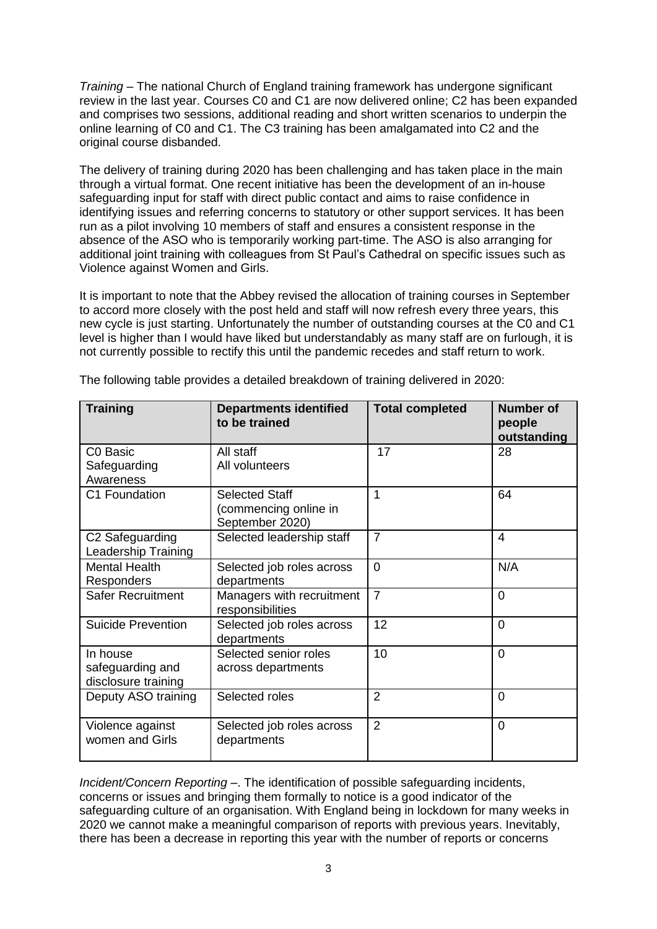*Training* – The national Church of England training framework has undergone significant review in the last year. Courses C0 and C1 are now delivered online; C2 has been expanded and comprises two sessions, additional reading and short written scenarios to underpin the online learning of C0 and C1. The C3 training has been amalgamated into C2 and the original course disbanded.

The delivery of training during 2020 has been challenging and has taken place in the main through a virtual format. One recent initiative has been the development of an in-house safeguarding input for staff with direct public contact and aims to raise confidence in identifying issues and referring concerns to statutory or other support services. It has been run as a pilot involving 10 members of staff and ensures a consistent response in the absence of the ASO who is temporarily working part-time. The ASO is also arranging for additional joint training with colleagues from St Paul's Cathedral on specific issues such as Violence against Women and Girls.

It is important to note that the Abbey revised the allocation of training courses in September to accord more closely with the post held and staff will now refresh every three years, this new cycle is just starting. Unfortunately the number of outstanding courses at the C0 and C1 level is higher than I would have liked but understandably as many staff are on furlough, it is not currently possible to rectify this until the pandemic recedes and staff return to work.

| <b>Training</b>                                     | <b>Departments identified</b><br>to be trained                    | <b>Total completed</b> | <b>Number of</b><br>people<br>outstanding |
|-----------------------------------------------------|-------------------------------------------------------------------|------------------------|-------------------------------------------|
| C0 Basic<br>Safeguarding<br>Awareness               | All staff<br>All volunteers                                       | 17                     | 28                                        |
| C1 Foundation                                       | <b>Selected Staff</b><br>(commencing online in<br>September 2020) | 1                      | 64                                        |
| C2 Safeguarding<br>Leadership Training              | Selected leadership staff                                         | $\overline{7}$         | 4                                         |
| <b>Mental Health</b><br>Responders                  | Selected job roles across<br>departments                          | $\overline{0}$         | N/A                                       |
| <b>Safer Recruitment</b>                            | Managers with recruitment<br>responsibilities                     | $\overline{7}$         | $\overline{0}$                            |
| <b>Suicide Prevention</b>                           | Selected job roles across<br>departments                          | 12                     | $\overline{0}$                            |
| In house<br>safeguarding and<br>disclosure training | Selected senior roles<br>across departments                       | 10                     | $\Omega$                                  |
| Deputy ASO training                                 | Selected roles                                                    | $\overline{2}$         | $\overline{0}$                            |
| Violence against<br>women and Girls                 | Selected job roles across<br>departments                          | $\overline{2}$         | $\overline{0}$                            |

The following table provides a detailed breakdown of training delivered in 2020:

*Incident/Concern Reporting* –. The identification of possible safeguarding incidents, concerns or issues and bringing them formally to notice is a good indicator of the safeguarding culture of an organisation. With England being in lockdown for many weeks in 2020 we cannot make a meaningful comparison of reports with previous years. Inevitably, there has been a decrease in reporting this year with the number of reports or concerns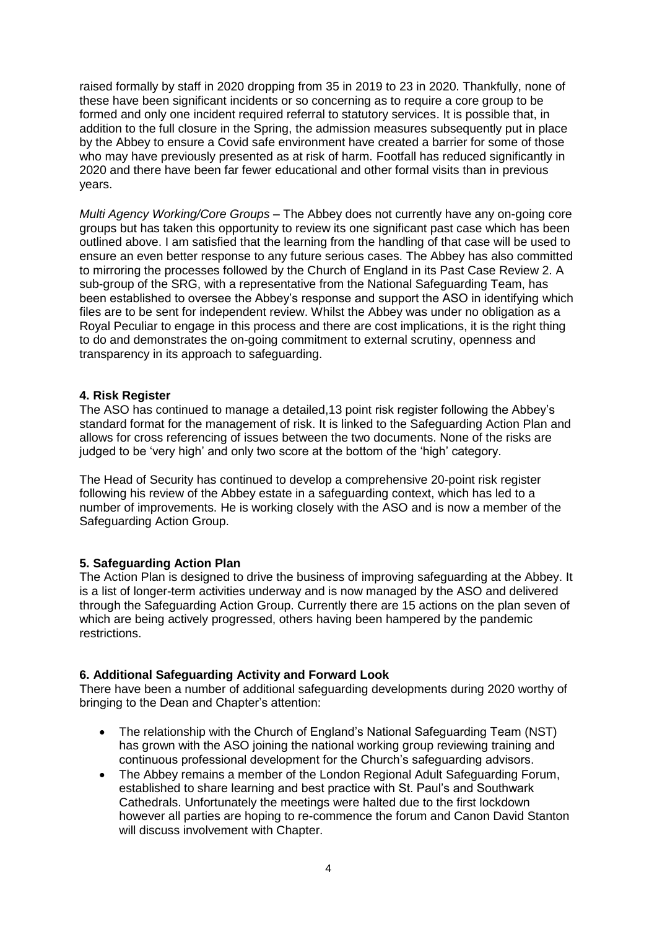raised formally by staff in 2020 dropping from 35 in 2019 to 23 in 2020. Thankfully, none of these have been significant incidents or so concerning as to require a core group to be formed and only one incident required referral to statutory services. It is possible that, in addition to the full closure in the Spring, the admission measures subsequently put in place by the Abbey to ensure a Covid safe environment have created a barrier for some of those who may have previously presented as at risk of harm. Footfall has reduced significantly in 2020 and there have been far fewer educational and other formal visits than in previous years.

*Multi Agency Working/Core Groups* – The Abbey does not currently have any on-going core groups but has taken this opportunity to review its one significant past case which has been outlined above. I am satisfied that the learning from the handling of that case will be used to ensure an even better response to any future serious cases. The Abbey has also committed to mirroring the processes followed by the Church of England in its Past Case Review 2. A sub-group of the SRG, with a representative from the National Safeguarding Team, has been established to oversee the Abbey's response and support the ASO in identifying which files are to be sent for independent review. Whilst the Abbey was under no obligation as a Royal Peculiar to engage in this process and there are cost implications, it is the right thing to do and demonstrates the on-going commitment to external scrutiny, openness and transparency in its approach to safeguarding.

#### **4. Risk Register**

The ASO has continued to manage a detailed,13 point risk register following the Abbey's standard format for the management of risk. It is linked to the Safeguarding Action Plan and allows for cross referencing of issues between the two documents. None of the risks are judged to be 'very high' and only two score at the bottom of the 'high' category.

The Head of Security has continued to develop a comprehensive 20-point risk register following his review of the Abbey estate in a safeguarding context, which has led to a number of improvements. He is working closely with the ASO and is now a member of the Safeguarding Action Group.

#### **5. Safeguarding Action Plan**

The Action Plan is designed to drive the business of improving safeguarding at the Abbey. It is a list of longer-term activities underway and is now managed by the ASO and delivered through the Safeguarding Action Group. Currently there are 15 actions on the plan seven of which are being actively progressed, others having been hampered by the pandemic restrictions.

#### **6. Additional Safeguarding Activity and Forward Look**

There have been a number of additional safeguarding developments during 2020 worthy of bringing to the Dean and Chapter's attention:

- The relationship with the Church of England's National Safeguarding Team (NST) has grown with the ASO joining the national working group reviewing training and continuous professional development for the Church's safeguarding advisors.
- The Abbey remains a member of the London Regional Adult Safeguarding Forum, established to share learning and best practice with St. Paul's and Southwark Cathedrals. Unfortunately the meetings were halted due to the first lockdown however all parties are hoping to re-commence the forum and Canon David Stanton will discuss involvement with Chapter.